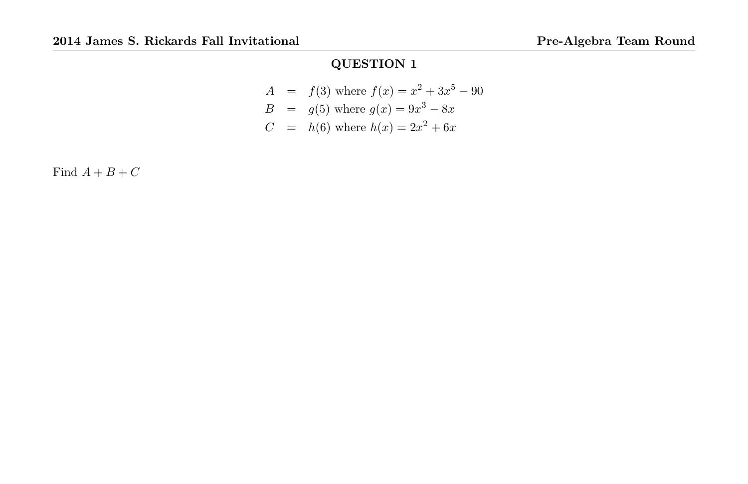$$
A = f(3) \text{ where } f(x) = x^2 + 3x^5 - 90
$$
  
\n
$$
B = g(5) \text{ where } g(x) = 9x^3 - 8x
$$
  
\n
$$
C = h(6) \text{ where } h(x) = 2x^2 + 6x
$$

Find  $A + B + C$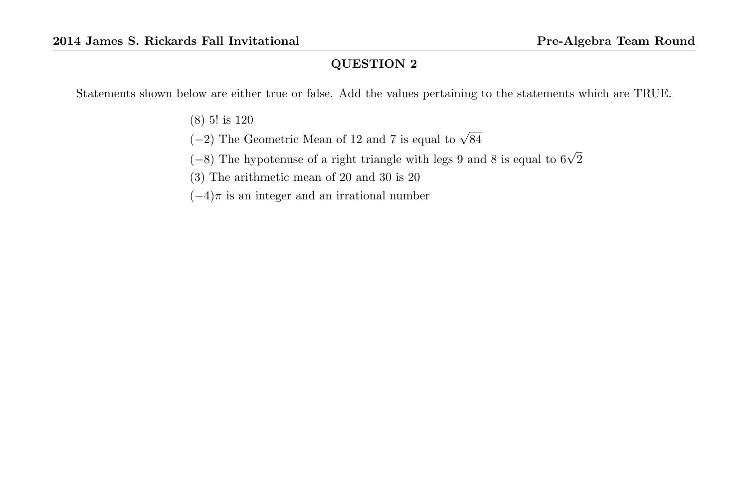Statements shown below are either true or false. Add the values pertaining to the statements which are TRUE.

(8) 5! is 120

(-2) The Geometric Mean of 12 and 7 is equal to  $\sqrt{84}$ 

(−8) The hypotenuse of a right triangle with legs 9 and 8 is equal to  $6\sqrt{2}$ 

(3) The arithmetic mean of 20 and 30 is 20

 $(-4)\pi$  is an integer and an irrational number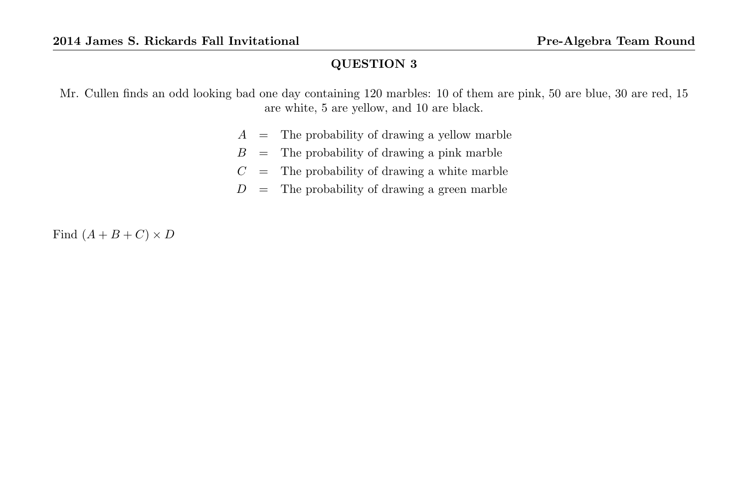Mr. Cullen finds an odd looking bad one day containing 120 marbles: 10 of them are pink, 50 are blue, 30 are red, 15 are white, 5 are yellow, and 10 are black.

- $A =$ The probability of drawing a yellow marble
- $B =$  The probability of drawing a pink marble
- $C =$  The probability of drawing a white marble
- $D =$ The probability of drawing a green marble

Find  $(A + B + C) \times D$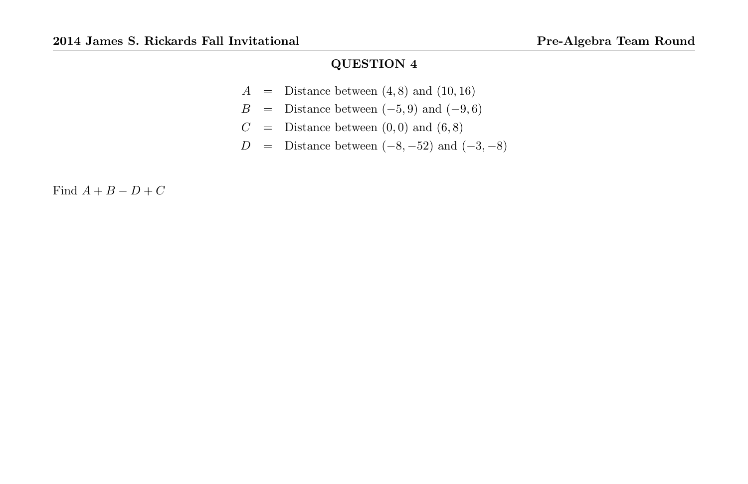- $A =$  Distance between  $(4, 8)$  and  $(10, 16)$
- $B =$  Distance between  $(-5, 9)$  and  $(-9, 6)$
- $C =$  Distance between  $(0,0)$  and  $(6,8)$
- $D =$  Distance between  $(-8, -52)$  and  $(-3, -8)$

Find  $A + B - D + C$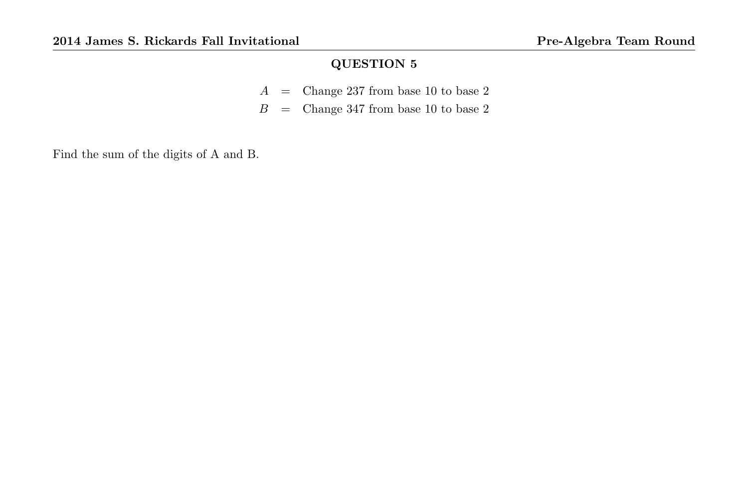- $A =$  Change 237 from base 10 to base 2
- $B =$  Change 347 from base 10 to base 2

Find the sum of the digits of A and B.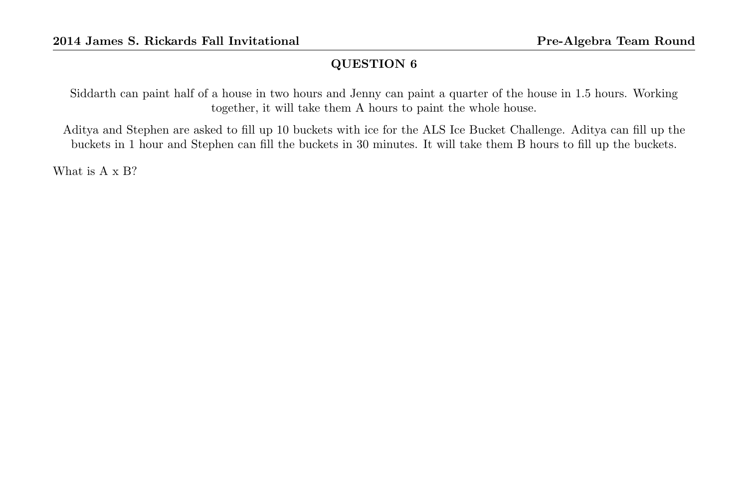Siddarth can paint half of a house in two hours and Jenny can paint a quarter of the house in 1.5 hours. Working together, it will take them A hours to paint the whole house.

Aditya and Stephen are asked to fill up 10 buckets with ice for the ALS Ice Bucket Challenge. Aditya can fill up the buckets in 1 hour and Stephen can fill the buckets in 30 minutes. It will take them B hours to fill up the buckets.

What is A x B?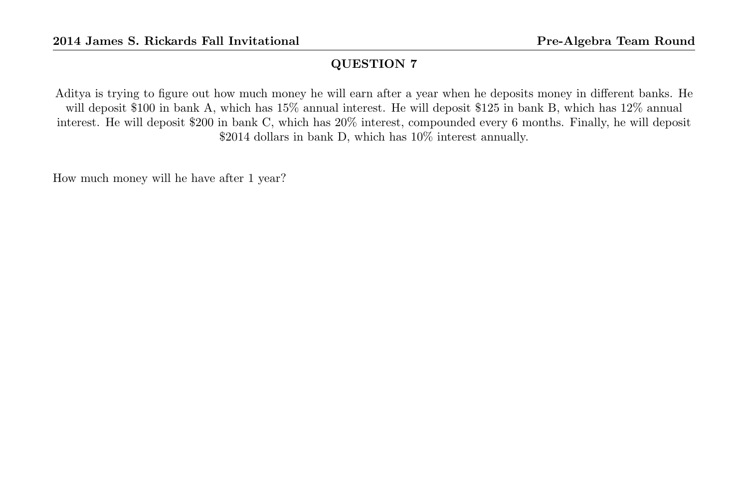Aditya is trying to figure out how much money he will earn after a year when he deposits money in different banks. He will deposit \$100 in bank A, which has 15% annual interest. He will deposit \$125 in bank B, which has 12% annual interest. He will deposit \$200 in bank C, which has 20% interest, compounded every 6 months. Finally, he will deposit \$2014 dollars in bank D, which has 10% interest annually.

How much money will he have after 1 year?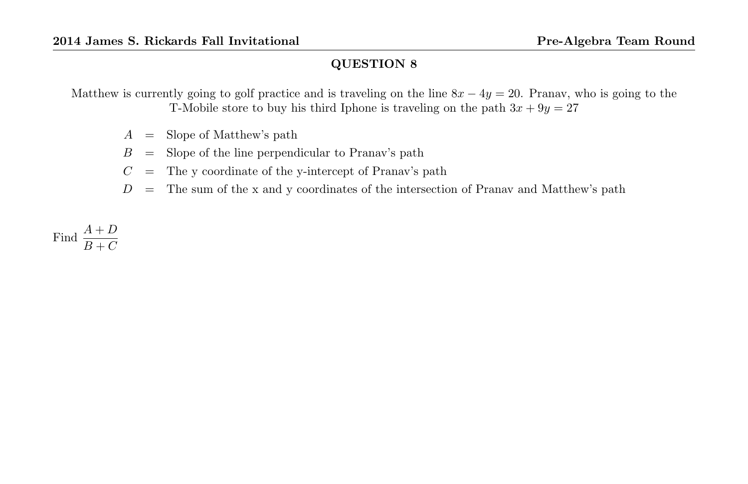Matthew is currently going to golf practice and is traveling on the line  $8x - 4y = 20$ . Pranav, who is going to the T-Mobile store to buy his third Iphone is traveling on the path  $3x + 9y = 27$ 

- $A =$ Slope of Matthew's path
- $B =$  Slope of the line perpendicular to Pranav's path
- $C =$  The y coordinate of the y-intercept of Pranav's path
- $D =$  The sum of the x and y coordinates of the intersection of Pranav and Matthew's path

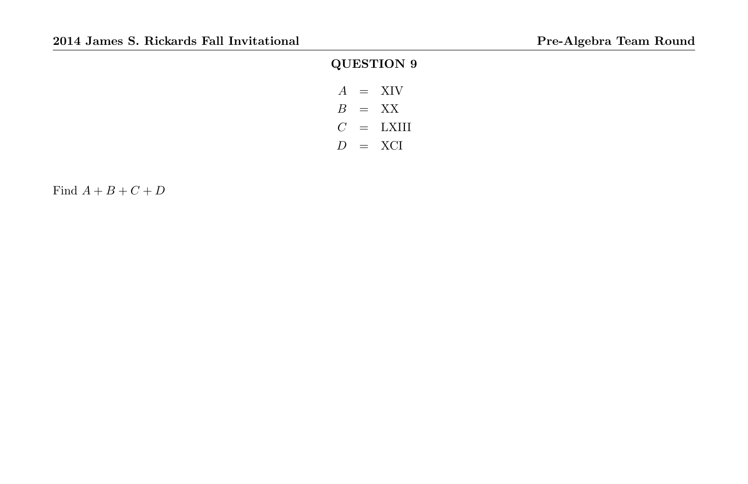# QUESTION 9  $A = XIV$  $B = XX$  $C = LXIII$

 $D = \text{XCI}$ 

Find  $A + B + C + D$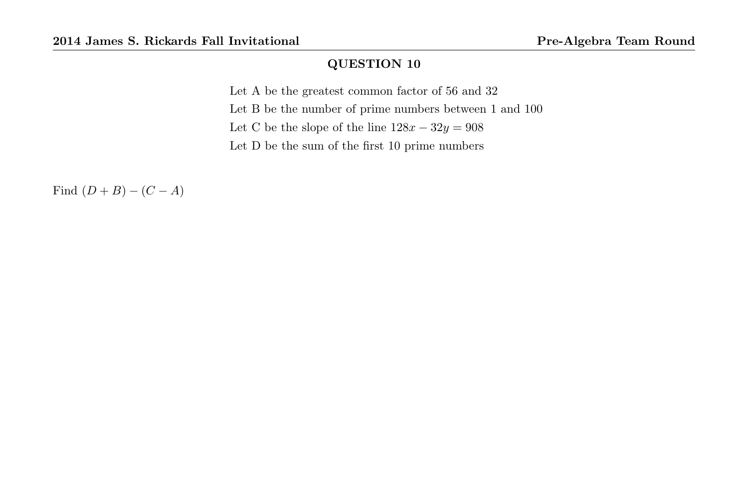Let A be the greatest common factor of 56 and 32 Let B be the number of prime numbers between 1 and 100 Let C be the slope of the line  $128x - 32y = 908$ Let D be the sum of the first 10 prime numbers

Find  $(D + B) - (C - A)$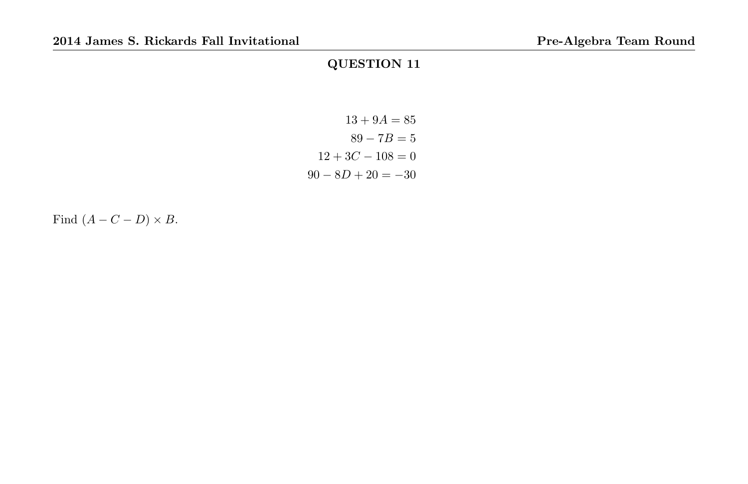$$
13 + 9A = 85
$$
  

$$
89 - 7B = 5
$$
  

$$
12 + 3C - 108 = 0
$$
  

$$
90 - 8D + 20 = -30
$$

Find  $(A - C - D) \times B$ .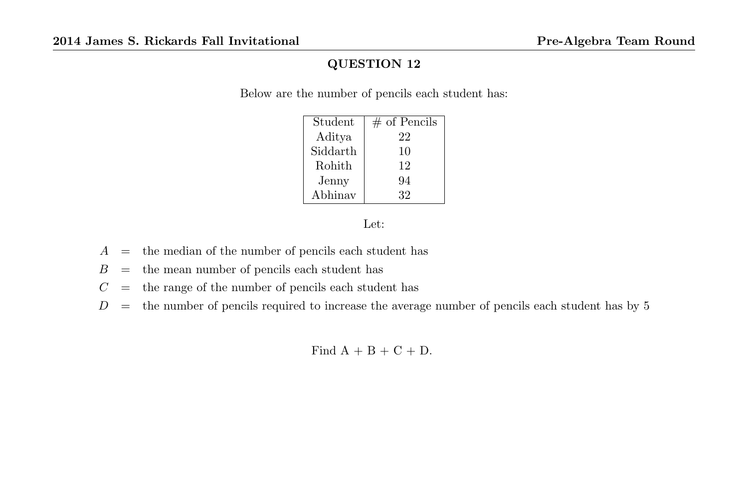Below are the number of pencils each student has:

| Student  | $#$ of Pencils |
|----------|----------------|
| Aditya   | 22             |
| Siddarth | 10             |
| Rohith   | 12             |
| Jenny    | 94             |
| Abhinav  | 32             |

Let:

- $A =$  the median of the number of pencils each student has
- $B =$  the mean number of pencils each student has
- $C =$  the range of the number of pencils each student has
- $D =$  the number of pencils required to increase the average number of pencils each student has by 5

Find  $A + B + C + D$ .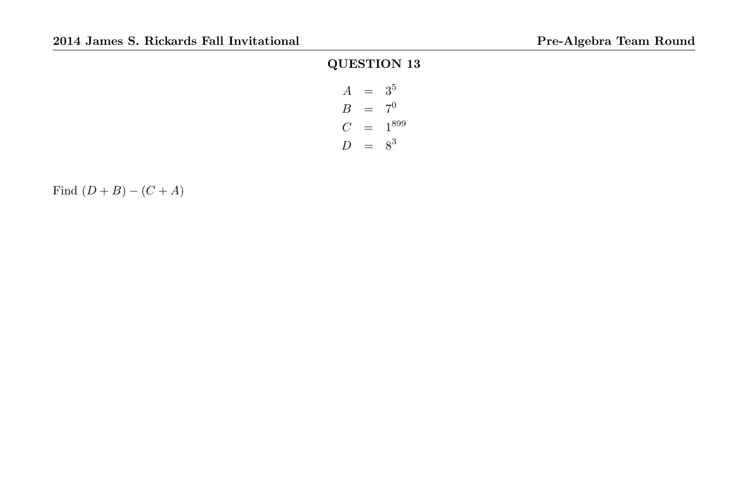| $\overline{A}$   | $=$ | 3 <sup>5</sup> |
|------------------|-----|----------------|
| В                | $=$ | $7^{0}$        |
| C                | $=$ | 1899           |
| $\left( \right)$ |     | $8^3$          |

Find  $(D + B) - (C + A)$